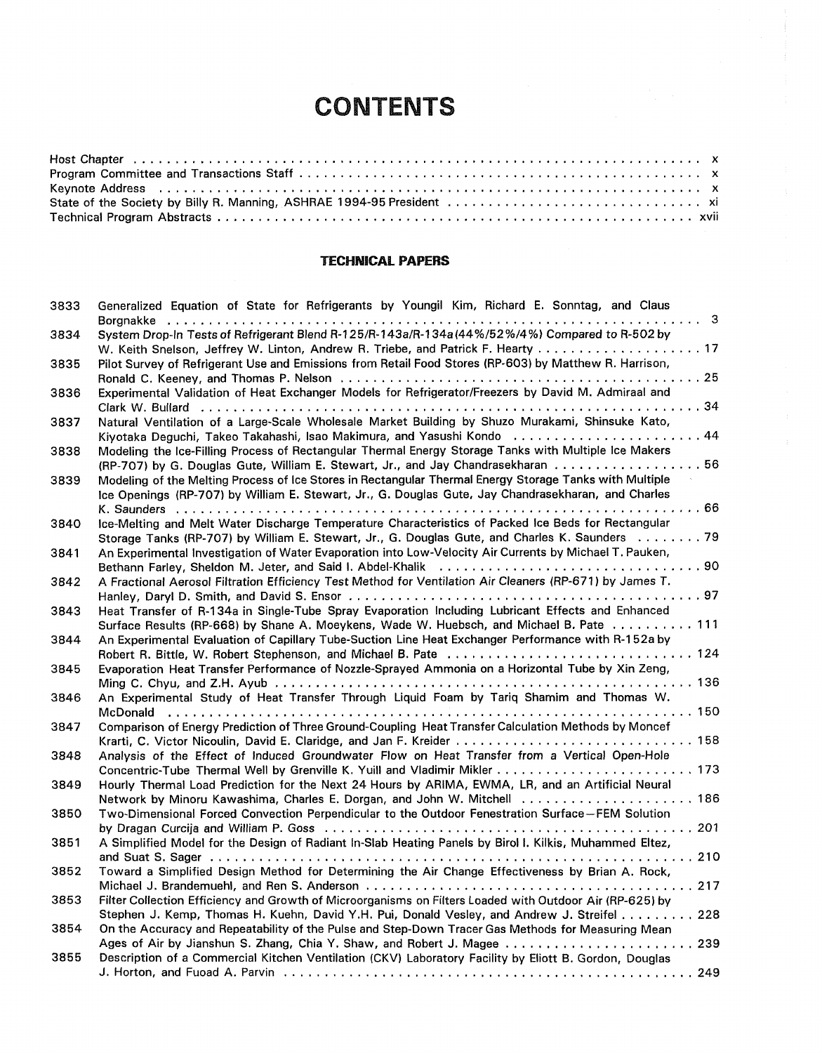## **CONTENTS**

## **TECHNICAL PAPERS**

| 3833 | Generalized Equation of State for Refrigerants by Youngil Kim, Richard E. Sonntag, and Claus                                                                                                          |
|------|-------------------------------------------------------------------------------------------------------------------------------------------------------------------------------------------------------|
| 3834 | System Drop-In Tests of Refrigerant Blend R-125/R-143a/R-134a (44%/52%/4%) Compared to R-502 by                                                                                                       |
|      | W. Keith Snelson, Jeffrey W. Linton, Andrew R. Triebe, and Patrick F. Hearty  17                                                                                                                      |
| 3835 | Pilot Survey of Refrigerant Use and Emissions from Retail Food Stores (RP-603) by Matthew R. Harrison,                                                                                                |
|      |                                                                                                                                                                                                       |
| 3836 | Experimental Validation of Heat Exchanger Models for Refrigerator/Freezers by David M. Admiraal and                                                                                                   |
|      |                                                                                                                                                                                                       |
| 3837 | Natural Ventilation of a Large-Scale Wholesale Market Building by Shuzo Murakami, Shinsuke Kato,                                                                                                      |
|      | Kiyotaka Deguchi, Takeo Takahashi, Isao Makimura, and Yasushi Kondo  44                                                                                                                               |
| 3838 | Modeling the Ice-Filling Process of Rectangular Thermal Energy Storage Tanks with Multiple Ice Makers                                                                                                 |
|      | (RP-707) by G. Douglas Gute, William E. Stewart, Jr., and Jay Chandrasekharan 56                                                                                                                      |
| 3839 | Modeling of the Melting Process of Ice Stores in Rectangular Thermal Energy Storage Tanks with Multiple                                                                                               |
|      | Ice Openings (RP-707) by William E. Stewart, Jr., G. Douglas Gute, Jay Chandrasekharan, and Charles                                                                                                   |
|      |                                                                                                                                                                                                       |
| 3840 | Ice-Melting and Melt Water Discharge Temperature Characteristics of Packed Ice Beds for Rectangular<br>Storage Tanks (RP-707) by William E. Stewart, Jr., G. Douglas Gute, and Charles K. Saunders 79 |
| 3841 | An Experimental Investigation of Water Evaporation into Low-Velocity Air Currents by Michael T. Pauken,                                                                                               |
|      |                                                                                                                                                                                                       |
| 3842 | A Fractional Aerosol Filtration Efficiency Test Method for Ventilation Air Cleaners (RP-671) by James T.                                                                                              |
|      |                                                                                                                                                                                                       |
| 3843 | Heat Transfer of R-134a in Single-Tube Spray Evaporation Including Lubricant Effects and Enhanced                                                                                                     |
|      | Surface Results (RP-668) by Shane A. Moeykens, Wade W. Huebsch, and Michael B. Pate  111                                                                                                              |
| 3844 | An Experimental Evaluation of Capillary Tube-Suction Line Heat Exchanger Performance with R-152a by                                                                                                   |
|      | Robert R. Bittle, W. Robert Stephenson, and Michael B. Pate  124                                                                                                                                      |
| 3845 | Evaporation Heat Transfer Performance of Nozzle-Sprayed Ammonia on a Horizontal Tube by Xin Zeng,                                                                                                     |
|      |                                                                                                                                                                                                       |
| 3846 | An Experimental Study of Heat Transfer Through Liquid Foam by Tariq Shamim and Thomas W.                                                                                                              |
|      |                                                                                                                                                                                                       |
| 3847 | Comparison of Energy Prediction of Three Ground-Coupling Heat Transfer Calculation Methods by Moncef                                                                                                  |
|      |                                                                                                                                                                                                       |
| 3848 | Analysis of the Effect of Induced Groundwater Flow on Heat Transfer from a Vertical Open-Hole                                                                                                         |
| 3849 | Hourly Thermal Load Prediction for the Next 24 Hours by ARIMA, EWMA, LR, and an Artificial Neural                                                                                                     |
|      | Network by Minoru Kawashima, Charles E. Dorgan, and John W. Mitchell  186                                                                                                                             |
| 3850 | Two-Dimensional Forced Convection Perpendicular to the Outdoor Fenestration Surface-FEM Solution                                                                                                      |
|      |                                                                                                                                                                                                       |
| 3851 | A Simplified Model for the Design of Radiant In-Slab Heating Panels by Birol I. Kilkis, Muhammed Eltez,                                                                                               |
|      |                                                                                                                                                                                                       |
| 3852 | Toward a Simplified Design Method for Determining the Air Change Effectiveness by Brian A. Rock,                                                                                                      |
|      |                                                                                                                                                                                                       |
| 3853 | Filter Collection Efficiency and Growth of Microorganisms on Filters Loaded with Outdoor Air (RP-625) by                                                                                              |
|      | Stephen J. Kemp, Thomas H. Kuehn, David Y.H. Pui, Donald Vesley, and Andrew J. Streifel 228                                                                                                           |
| 3854 | On the Accuracy and Repeatability of the Pulse and Step-Down Tracer Gas Methods for Measuring Mean                                                                                                    |
|      | Ages of Air by Jianshun S. Zhang, Chia Y. Shaw, and Robert J. Magee  239                                                                                                                              |
| 3855 | Description of a Commercial Kitchen Ventilation (CKV) Laboratory Facility by Eliott B. Gordon, Douglas                                                                                                |
|      |                                                                                                                                                                                                       |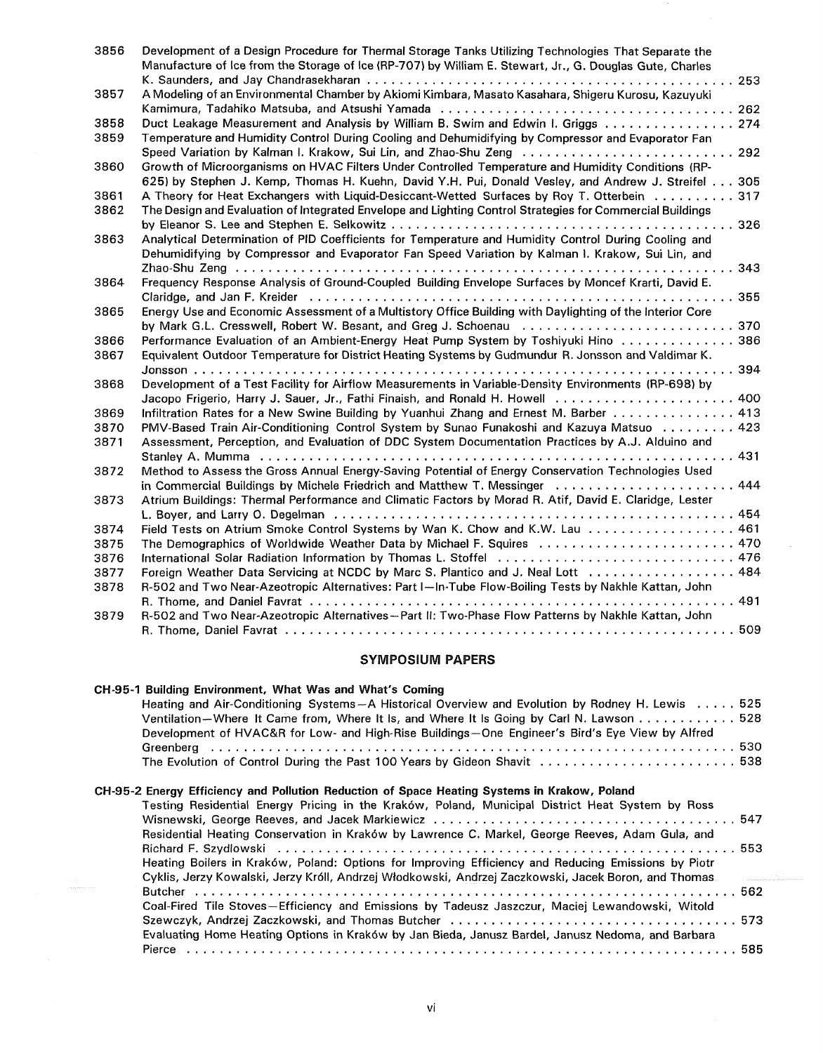| 3856 | Development of a Design Procedure for Thermal Storage Tanks Utilizing Technologies That Separate the<br>Manufacture of Ice from the Storage of Ice (RP-707) by William E. Stewart, Jr., G. Douglas Gute, Charles |
|------|------------------------------------------------------------------------------------------------------------------------------------------------------------------------------------------------------------------|
|      |                                                                                                                                                                                                                  |
| 3857 | A Modeling of an Environmental Chamber by Akiomi Kimbara, Masato Kasahara, Shigeru Kurosu, Kazuyuki                                                                                                              |
|      |                                                                                                                                                                                                                  |
| 3858 | Duct Leakage Measurement and Analysis by William B. Swim and Edwin I. Griggs  274                                                                                                                                |
| 3859 | Temperature and Humidity Control During Cooling and Dehumidifying by Compressor and Evaporator Fan                                                                                                               |
|      | Speed Variation by Kalman I. Krakow, Sui Lin, and Zhao-Shu Zeng  292                                                                                                                                             |
| 3860 | Growth of Microorganisms on HVAC Filters Under Controlled Temperature and Humidity Conditions (RP-                                                                                                               |
|      | 625) by Stephen J. Kemp, Thomas H. Kuehn, David Y.H. Pui, Donald Vesley, and Andrew J. Streifel 305                                                                                                              |
| 3861 | A Theory for Heat Exchangers with Liquid-Desiccant-Wetted Surfaces by Roy T. Otterbein 317                                                                                                                       |
| 3862 | The Design and Evaluation of Integrated Envelope and Lighting Control Strategies for Commercial Buildings                                                                                                        |
|      |                                                                                                                                                                                                                  |
| 3863 | Analytical Determination of PID Coefficients for Temperature and Humidity Control During Cooling and                                                                                                             |
|      | Dehumidifying by Compressor and Evaporator Fan Speed Variation by Kalman I. Krakow, Sui Lin, and                                                                                                                 |
|      |                                                                                                                                                                                                                  |
| 3864 | Frequency Response Analysis of Ground-Coupled Building Envelope Surfaces by Moncef Krarti, David E.                                                                                                              |
|      |                                                                                                                                                                                                                  |
| 3865 | Energy Use and Economic Assessment of a Multistory Office Building with Daylighting of the Interior Core                                                                                                         |
|      | by Mark G.L. Cresswell, Robert W. Besant, and Greg J. Schoenau 370                                                                                                                                               |
| 3866 | Performance Evaluation of an Ambient-Energy Heat Pump System by Toshiyuki Hino 386                                                                                                                               |
| 3867 | Equivalent Outdoor Temperature for District Heating Systems by Gudmundur R. Jonsson and Valdimar K.                                                                                                              |
|      |                                                                                                                                                                                                                  |
| 3868 | Development of a Test Facility for Airflow Measurements in Variable-Density Environments (RP-698) by                                                                                                             |
|      | Jacopo Frigerio, Harry J. Sauer, Jr., Fathi Finaish, and Ronald H. Howell  400                                                                                                                                   |
| 3869 | Infiltration Rates for a New Swine Building by Yuanhui Zhang and Ernest M. Barber  413                                                                                                                           |
| 3870 | PMV-Based Train Air-Conditioning Control System by Sunao Funakoshi and Kazuya Matsuo 423                                                                                                                         |
| 3871 | Assessment, Perception, and Evaluation of DDC System Documentation Practices by A.J. Alduino and                                                                                                                 |
|      | Method to Assess the Gross Annual Energy-Saving Potential of Energy Conservation Technologies Used                                                                                                               |
| 3872 | in Commercial Buildings by Michele Friedrich and Matthew T. Messinger  444                                                                                                                                       |
| 3873 | Atrium Buildings: Thermal Performance and Climatic Factors by Morad R. Atif, David E. Claridge, Lester                                                                                                           |
|      |                                                                                                                                                                                                                  |
| 3874 | Field Tests on Atrium Smoke Control Systems by Wan K. Chow and K.W. Lau  461                                                                                                                                     |
| 3875 | The Demographics of Worldwide Weather Data by Michael F. Squires  470                                                                                                                                            |
| 3876 | International Solar Radiation Information by Thomas L. Stoffel  476                                                                                                                                              |
| 3877 | Foreign Weather Data Servicing at NCDC by Marc S. Plantico and J. Neal Lott  484                                                                                                                                 |
| 3878 | R-502 and Two Near-Azeotropic Alternatives: Part I-In-Tube Flow-Boiling Tests by Nakhle Kattan, John                                                                                                             |
|      |                                                                                                                                                                                                                  |
| 3879 | R-502 and Two Near-Azeotropic Alternatives-Part II: Two-Phase Flow Patterns by Nakhle Kattan, John                                                                                                               |
|      |                                                                                                                                                                                                                  |
|      |                                                                                                                                                                                                                  |

## **SYMPOSIUM PAPERS**

| CH-95-1 Building Environment, What Was and What's Coming                                              |
|-------------------------------------------------------------------------------------------------------|
| Heating and Air-Conditioning Systems - A Historical Overview and Evolution by Rodney H. Lewis  525    |
| Ventilation—Where It Came from, Where It Is, and Where It Is Going by Carl N. Lawson 528              |
| Development of HVAC&R for Low- and High-Rise Buildings-One Engineer's Bird's Eye View by Alfred       |
|                                                                                                       |
| The Evolution of Control During the Past 100 Years by Gideon Shavit  538                              |
| CH-95-2 Energy Efficiency and Pollution Reduction of Space Heating Systems in Krakow, Poland          |
| Testing Residential Energy Pricing in the Kraków, Poland, Municipal District Heat System by Ross      |
|                                                                                                       |
| Residential Heating Conservation in Kraków by Lawrence C. Markel, George Reeves, Adam Gula, and       |
|                                                                                                       |
| Heating Boilers in Kraków, Poland: Options for Improving Efficiency and Reducing Emissions by Piotr   |
| Cyklis, Jerzy Kowalski, Jerzy Króll, Andrzej Włodkowski, Andrzej Zaczkowski, Jacek Boron, and Thomas. |
|                                                                                                       |
| Coal-Fired Tile Stoves-Efficiency and Emissions by Tadeusz Jaszczur, Maciej Lewandowski, Witold       |
|                                                                                                       |
| Evaluating Home Heating Options in Kraków by Jan Bieda, Janusz Bardel, Janusz Nedoma, and Barbara     |
|                                                                                                       |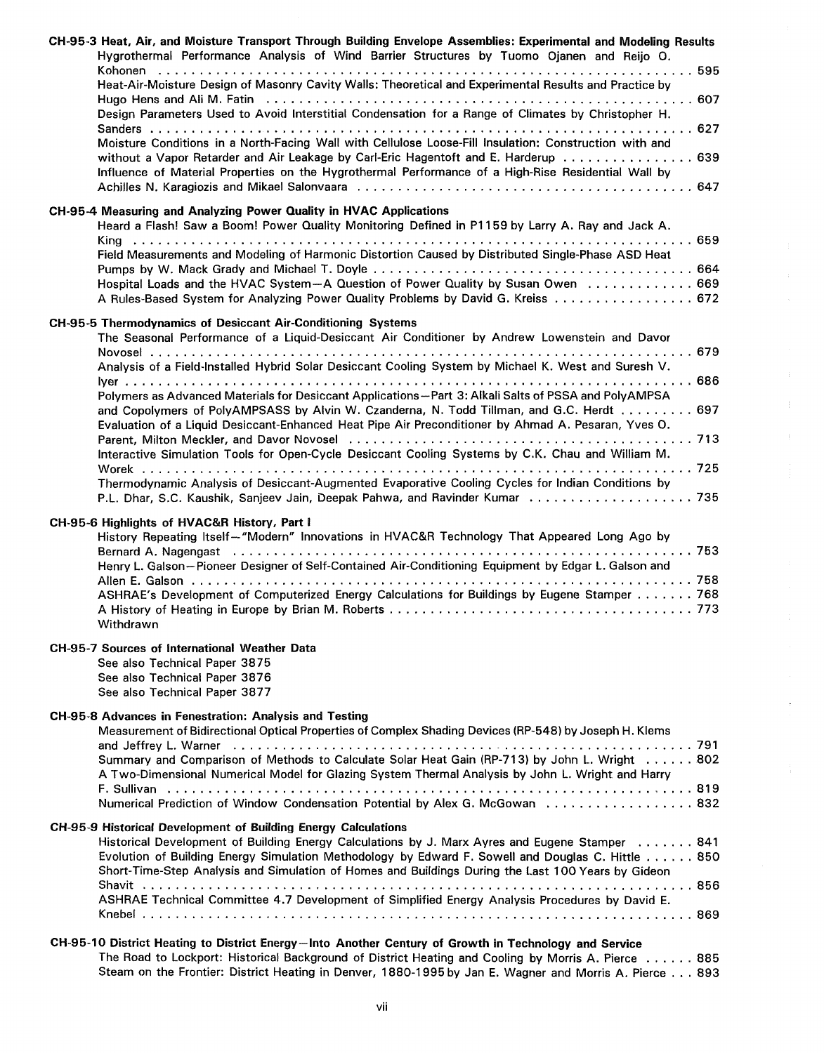| Heat-Air-Moisture Design of Masonry Cavity Walls: Theoretical and Experimental Results and Practice by<br>Design Parameters Used to Avoid Interstitial Condensation for a Range of Climates by Christopher H.<br>Moisture Conditions in a North-Facing Wall with Cellulose Loose-Fill Insulation: Construction with and<br>without a Vapor Retarder and Air Leakage by Carl-Eric Hagentoft and E. Harderup  639<br>Influence of Material Properties on the Hygrothermal Performance of a High-Rise Residential Wall by |  |
|------------------------------------------------------------------------------------------------------------------------------------------------------------------------------------------------------------------------------------------------------------------------------------------------------------------------------------------------------------------------------------------------------------------------------------------------------------------------------------------------------------------------|--|
|                                                                                                                                                                                                                                                                                                                                                                                                                                                                                                                        |  |
|                                                                                                                                                                                                                                                                                                                                                                                                                                                                                                                        |  |
| CH-95-4 Measuring and Analyzing Power Quality in HVAC Applications<br>Heard a Flash! Saw a Boom! Power Quality Monitoring Defined in P1159 by Larry A. Ray and Jack A.                                                                                                                                                                                                                                                                                                                                                 |  |
| Field Measurements and Modeling of Harmonic Distortion Caused by Distributed Single-Phase ASD Heat<br>Hospital Loads and the HVAC System-A Question of Power Quality by Susan Owen  669<br>A Rules-Based System for Analyzing Power Quality Problems by David G. Kreiss 672                                                                                                                                                                                                                                            |  |
| CH-95-5 Thermodynamics of Desiccant Air-Conditioning Systems<br>The Seasonal Performance of a Liquid-Desiccant Air Conditioner by Andrew Lowenstein and Davor                                                                                                                                                                                                                                                                                                                                                          |  |
| Analysis of a Field-Installed Hybrid Solar Desiccant Cooling System by Michael K. West and Suresh V.                                                                                                                                                                                                                                                                                                                                                                                                                   |  |
| Polymers as Advanced Materials for Desiccant Applications-Part 3: Alkali Salts of PSSA and PolyAMPSA<br>and Copolymers of PolyAMPSASS by Alvin W. Czanderna, N. Todd Tillman, and G.C. Herdt 697<br>Evaluation of a Liquid Desiccant-Enhanced Heat Pipe Air Preconditioner by Ahmad A. Pesaran, Yves O.                                                                                                                                                                                                                |  |
| Interactive Simulation Tools for Open-Cycle Desiccant Cooling Systems by C.K. Chau and William M.<br>Thermodynamic Analysis of Desiccant-Augmented Evaporative Cooling Cycles for Indian Conditions by                                                                                                                                                                                                                                                                                                                 |  |
| P.L. Dhar, S.C. Kaushik, Sanjeev Jain, Deepak Pahwa, and Ravinder Kumar  735<br>CH-95-6 Highlights of HVAC&R History, Part I                                                                                                                                                                                                                                                                                                                                                                                           |  |
| History Repeating Itself-"Modern" Innovations in HVAC&R Technology That Appeared Long Ago by<br>Henry L. Galson-Pioneer Designer of Self-Contained Air-Conditioning Equipment by Edgar L. Galson and                                                                                                                                                                                                                                                                                                                   |  |
| ASHRAE's Development of Computerized Energy Calculations for Buildings by Eugene Stamper 768<br>Withdrawn                                                                                                                                                                                                                                                                                                                                                                                                              |  |
| <b>CH-95-7 Sources of International Weather Data</b><br>See also Technical Paper 3875<br>See also Technical Paper 3876<br>See also Technical Paper 3877                                                                                                                                                                                                                                                                                                                                                                |  |
| CH-95-8 Advances in Fenestration: Analysis and Testing<br>Measurement of Bidirectional Optical Properties of Complex Shading Devices (RP-548) by Joseph H. Klems                                                                                                                                                                                                                                                                                                                                                       |  |
| Summary and Comparison of Methods to Calculate Solar Heat Gain (RP-713) by John L. Wright 802<br>A Two-Dimensional Numerical Model for Glazing System Thermal Analysis by John L. Wright and Harry                                                                                                                                                                                                                                                                                                                     |  |
| Numerical Prediction of Window Condensation Potential by Alex G. McGowan  832<br>CH-95-9 Historical Development of Building Energy Calculations                                                                                                                                                                                                                                                                                                                                                                        |  |
| Historical Development of Building Energy Calculations by J. Marx Ayres and Eugene Stamper 841<br>Evolution of Building Energy Simulation Methodology by Edward F. Sowell and Douglas C. Hittle 850<br>Short-Time-Step Analysis and Simulation of Homes and Buildings During the Last 100 Years by Gideon                                                                                                                                                                                                              |  |
| ASHRAE Technical Committee 4.7 Development of Simplified Energy Analysis Procedures by David E.                                                                                                                                                                                                                                                                                                                                                                                                                        |  |
| CH-95-10 District Heating to District Energy--Into Another Century of Growth in Technology and Service<br>The Road to Lockport: Historical Background of District Heating and Cooling by Morris A. Pierce  885<br>Steam on the Frontier: District Heating in Denver, 1880-1995 by Jan E. Wagner and Morris A. Pierce 893                                                                                                                                                                                               |  |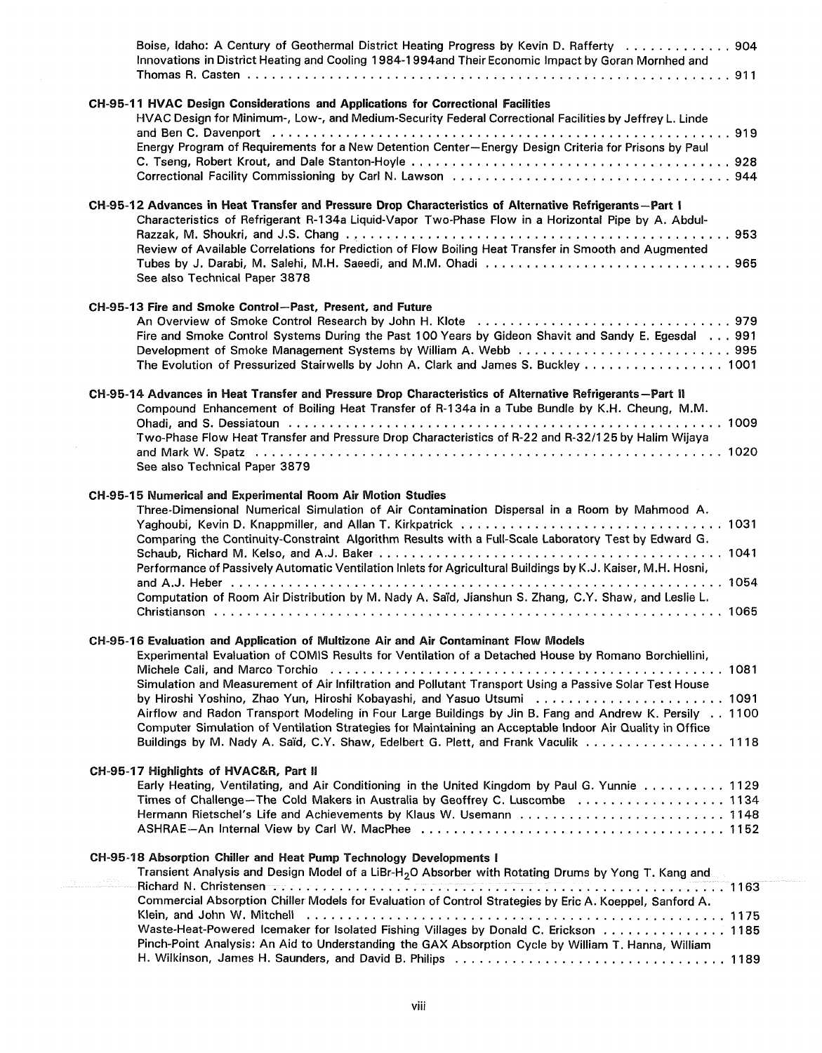| Boise, Idaho: A Century of Geothermal District Heating Progress by Kevin D. Rafferty  904<br>Innovations in District Heating and Cooling 1984-1994and Their Economic Impact by Goran Mornhed and                                                                                                                                                                                                                                                                                                                                                                                                                                                                                                                                                                                                                  |
|-------------------------------------------------------------------------------------------------------------------------------------------------------------------------------------------------------------------------------------------------------------------------------------------------------------------------------------------------------------------------------------------------------------------------------------------------------------------------------------------------------------------------------------------------------------------------------------------------------------------------------------------------------------------------------------------------------------------------------------------------------------------------------------------------------------------|
| CH-95-11 HVAC Design Considerations and Applications for Correctional Facilities<br>HVAC Design for Minimum-, Low-, and Medium-Security Federal Correctional Facilities by Jeffrey L. Linde<br>and Ben C. Davenport (and all and state of the state of the state of the state of the state of the state of th<br>Energy Program of Requirements for a New Detention Center-Energy Design Criteria for Prisons by Paul                                                                                                                                                                                                                                                                                                                                                                                             |
| CH-95-12 Advances in Heat Transfer and Pressure Drop Characteristics of Alternative Refrigerants-Part I<br>Characteristics of Refrigerant R-134a Liquid-Vapor Two-Phase Flow in a Horizontal Pipe by A. Abdul-<br>Review of Available Correlations for Prediction of Flow Boiling Heat Transfer in Smooth and Augmented<br>Tubes by J. Darabi, M. Salehi, M.H. Saeedi, and M.M. Ohadi  965<br>See also Technical Paper 3878                                                                                                                                                                                                                                                                                                                                                                                       |
| CH-95-13 Fire and Smoke Control-Past, Present, and Future<br>Fire and Smoke Control Systems During the Past 100 Years by Gideon Shavit and Sandy E. Egesdal 991<br>The Evolution of Pressurized Stairwells by John A. Clark and James S. Buckley 1001                                                                                                                                                                                                                                                                                                                                                                                                                                                                                                                                                             |
| CH-95-14 Advances in Heat Transfer and Pressure Drop Characteristics of Alternative Refrigerants-Part II<br>Compound Enhancement of Boiling Heat Transfer of R-134a in a Tube Bundle by K.H. Cheung, M.M.<br>Two-Phase Flow Heat Transfer and Pressure Drop Characteristics of R-22 and R-32/125 by Halim Wijaya<br>See also Technical Paper 3879                                                                                                                                                                                                                                                                                                                                                                                                                                                                 |
| CH-95-15 Numerical and Experimental Room Air Motion Studies<br>Three-Dimensional Numerical Simulation of Air Contamination Dispersal in a Room by Mahmood A.<br>Comparing the Continuity-Constraint Algorithm Results with a Full-Scale Laboratory Test by Edward G.<br>Performance of Passively Automatic Ventilation Inlets for Agricultural Buildings by K.J. Kaiser, M.H. Hosni,<br>Computation of Room Air Distribution by M. Nady A. Saïd, Jianshun S. Zhang, C.Y. Shaw, and Leslie L.                                                                                                                                                                                                                                                                                                                      |
| CH-95-16 Evaluation and Application of Multizone Air and Air Contaminant Flow Models<br>Experimental Evaluation of COMIS Results for Ventilation of a Detached House by Romano Borchiellini,<br>Michele Cali, and Marco Torchio (all cass contracts contracts contracts contracts contracts contracts contract<br>Simulation and Measurement of Air Infiltration and Pollutant Transport Using a Passive Solar Test House<br>by Hiroshi Yoshino, Zhao Yun, Hiroshi Kobayashi, and Yasuo Utsumi  1091<br>Airflow and Radon Transport Modeling in Four Large Buildings by Jin B. Fang and Andrew K. Persily 1100<br>Computer Simulation of Ventilation Strategies for Maintaining an Acceptable Indoor Air Quality in Office<br>Buildings by M. Nady A. Saïd, C.Y. Shaw, Edelbert G. Plett, and Frank Vaculik  1118 |
| CH-95-17 Highlights of HVAC&R, Part II<br>Early Heating, Ventilating, and Air Conditioning in the United Kingdom by Paul G. Yunnie  1129<br>Times of Challenge-The Cold Makers in Australia by Geoffrey C. Luscombe  1134<br>Hermann Rietschel's Life and Achievements by Klaus W. Usemann  1148                                                                                                                                                                                                                                                                                                                                                                                                                                                                                                                  |
| CH-95-18 Absorption Chiller and Heat Pump Technology Developments I<br>Transient Analysis and Design Model of a LiBr-H <sub>2</sub> O Absorber with Rotating Drums by Yong T. Kang and<br>나라의<br>Commercial Absorption Chiller Models for Evaluation of Control Strategies by Eric A. Koeppel, Sanford A.<br>Klein, and John W. Mitchell (also assessed also assessed also assessed also alternative metallication and J175<br>Waste-Heat-Powered Icemaker for Isolated Fishing Villages by Donald C. Erickson  1185<br>Pinch-Point Analysis: An Aid to Understanding the GAX Absorption Cycle by William T. Hanna, William                                                                                                                                                                                       |